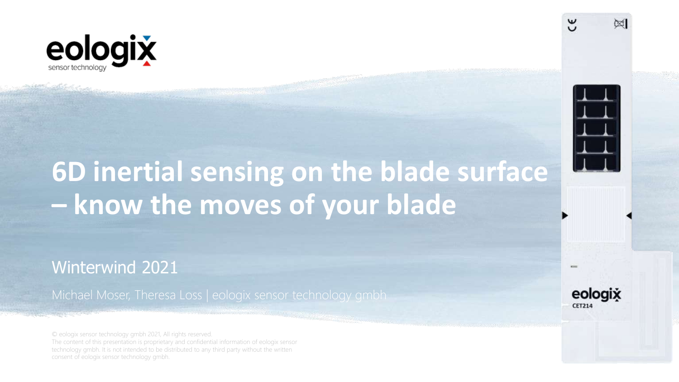

## **6D inertial sensing on the blade surface – know the moves of your blade**

Winterwind 2021

Michael Moser, Theresa Loss | eologix sensor technology gmbh

© eologix sensor technology gmbh 2021, All rights reserved. The content of this presentation is proprietary and confidential information of eologix sensor technology gmbh. It is not intended to be distributed to any third party without the written consent of eologix sensor technology gmbh.





 $\infty$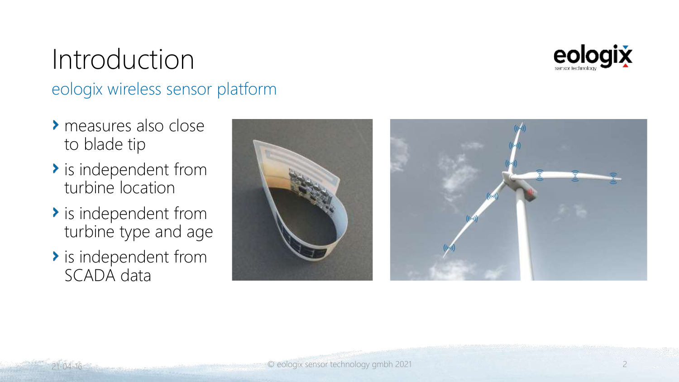

### Introduction eologix wireless sensor platform

- measures also close to blade tip
- $\rightarrow$  is independent from turbine location
- $\rightarrow$  is independent from turbine type and age
- $\rightarrow$  is independent from SCADA data

21-04-16

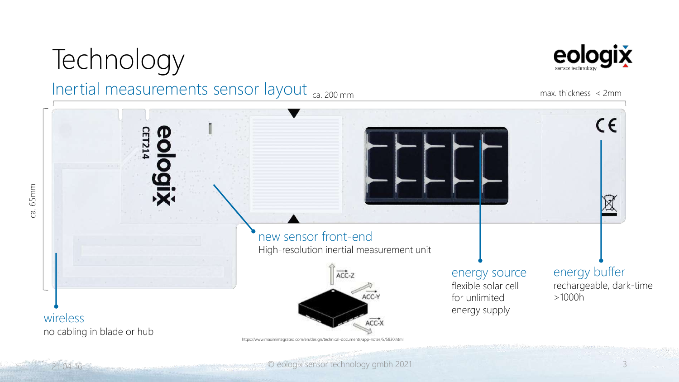## **Technology**

#### Inertial measurements sensor layout ca. 200 mm



max. thickness < 2mm



 $21-04-16$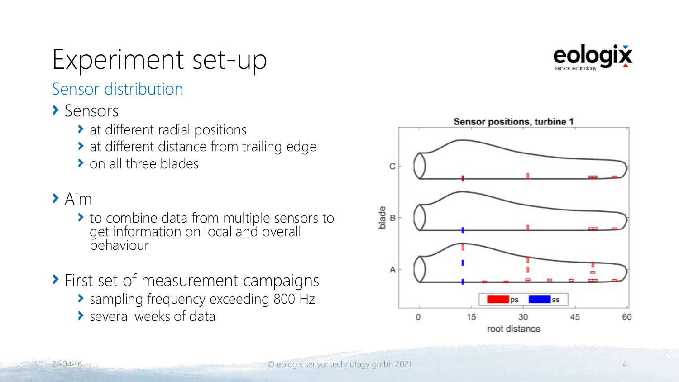

### Experiment set-up

Sensor distribution

#### > Sensors

- at different radial positions
- at different distance from trailing edge
- > on all three blades

#### $\blacktriangleright$  Aim

- to combine data from multiple sensors to get information on local and overall behaviour
- **> First set of measurement campaigns** 
	- **>** sampling frequency exceeding 800 Hz
	- several weeks of data

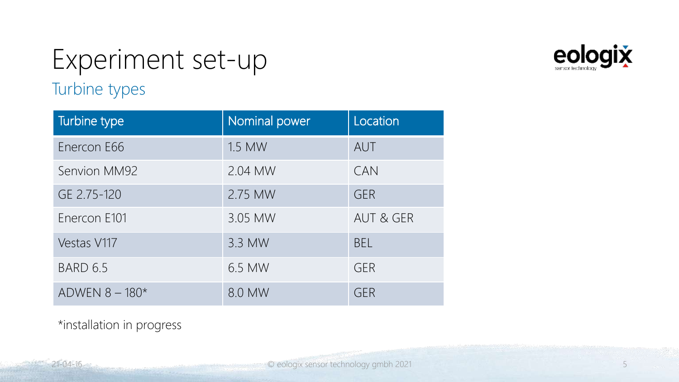### Turbine types Experiment set-up



\*installation in progress

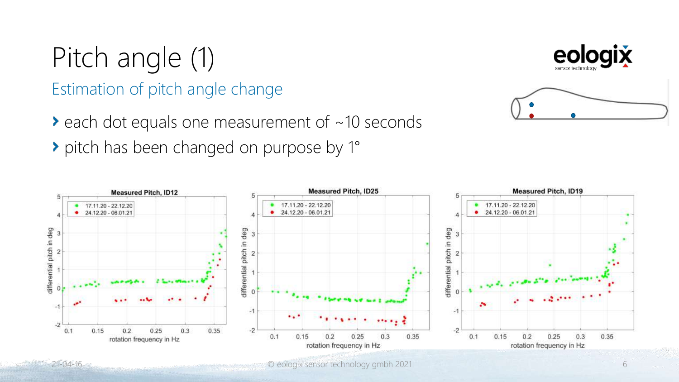# Pitch angle (1)

#### Estimation of pitch angle change

- $\triangleright$  each dot equals one measurement of  $\sim$  10 seconds
- pitch has been changed on purpose by 1°





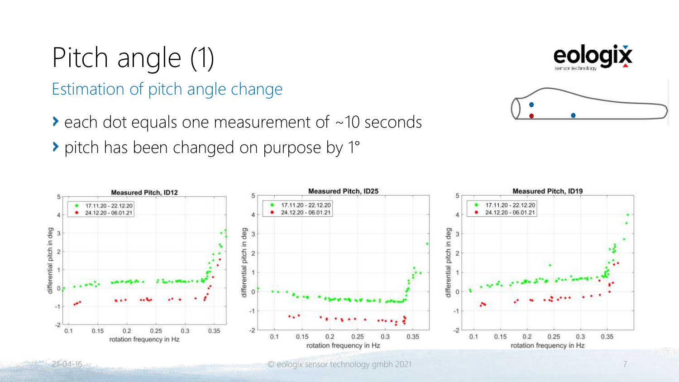# Pitch angle (1)

#### Estimation of pitch angle change

- $\triangleright$  each dot equals one measurement of  $\sim$  10 seconds
- pitch has been changed on purpose by 1°





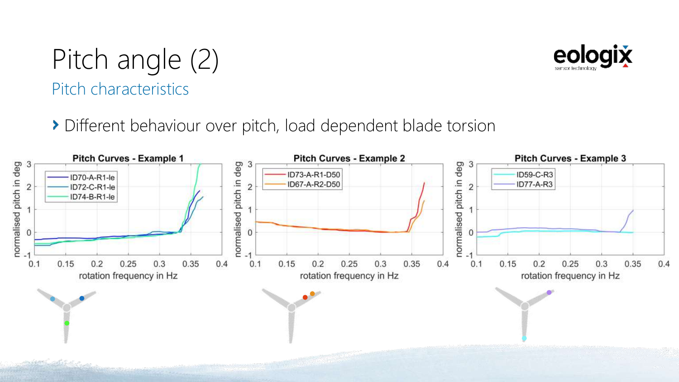### Pitch characteristics Pitch angle (2)

**>** Different behaviour over pitch, load dependent blade torsion



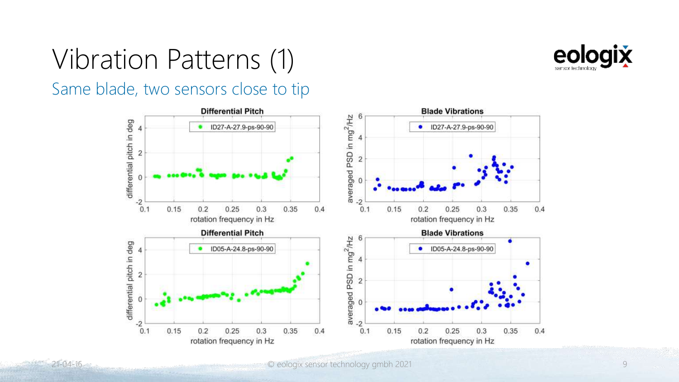

### Vibration Patterns (1)

Same blade, two sensors close to tip

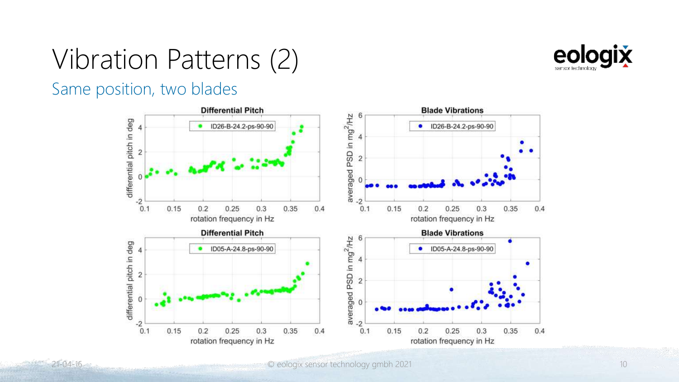

### Vibration Patterns (2)

#### Same position, two blades

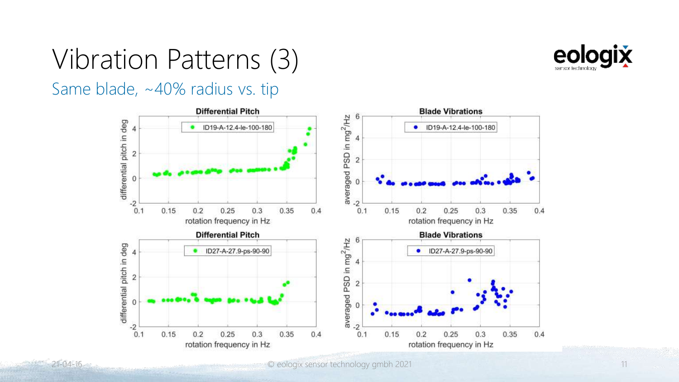

# Vibration Patterns (3)

Same blade, ~40% radius vs. tip

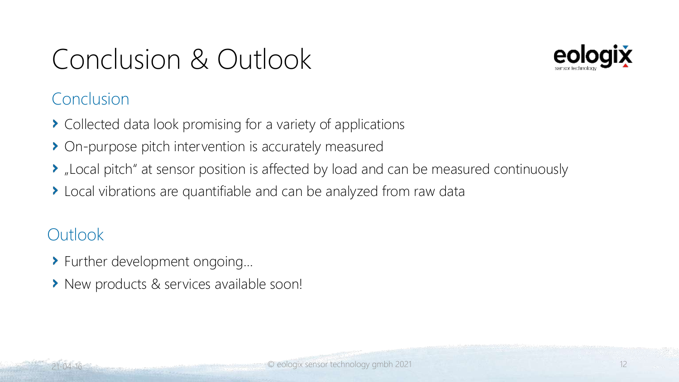## Conclusion & Outlook



#### **Conclusion**

- Collected data look promising for a variety of applications
- On-purpose pitch intervention is accurately measured
- "Local pitch" at sensor position is affected by load and can be measured continuously
- ▶ Local vibrations are quantifiable and can be analyzed from raw data

#### **Outlook**

- Further development ongoing…
- > New products & services available soon!